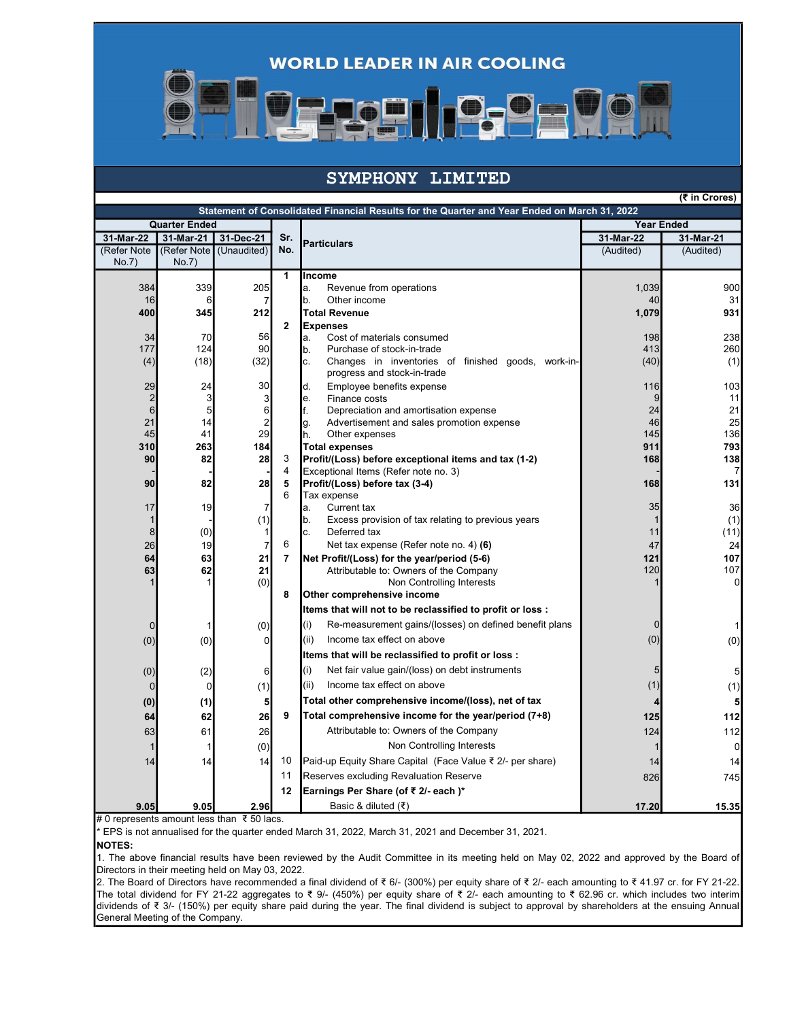**WORLD LEADER IN AIR COOLING** 



## SYMPHONY LIMITED

(₹ in Crores)

| Statement of Consolidated Financial Results for the Quarter and Year Ended on March 31, 2022 |                |                         |                |                                                                                         |                   |                |  |
|----------------------------------------------------------------------------------------------|----------------|-------------------------|----------------|-----------------------------------------------------------------------------------------|-------------------|----------------|--|
| <b>Quarter Ended</b>                                                                         |                |                         |                |                                                                                         | <b>Year Ended</b> |                |  |
| 31-Mar-22                                                                                    | 31-Mar-21      | 31-Dec-21               | Sr.            | <b>Particulars</b>                                                                      | 31-Mar-22         | 31-Mar-21      |  |
| (Refer Note                                                                                  |                | (Refer Note (Unaudited) | No.            |                                                                                         | (Audited)         | (Audited)      |  |
| No.7)                                                                                        | No.7)          |                         |                |                                                                                         |                   |                |  |
|                                                                                              |                |                         | $\mathbf{1}$   | Income                                                                                  |                   |                |  |
| 384<br>16                                                                                    | 339<br>6       | 205                     |                | a.<br>Revenue from operations<br>b.<br>Other income                                     | 1,039<br>40       | 900<br>31      |  |
| 400                                                                                          | 345            | 7<br>212                |                | <b>Total Revenue</b>                                                                    | 1,079             | 931            |  |
|                                                                                              |                |                         | $\mathbf 2$    | <b>Expenses</b>                                                                         |                   |                |  |
| 34                                                                                           | 70             | 56                      |                | Cost of materials consumed<br>a.                                                        | 198               | 238            |  |
| 177                                                                                          | 124            | 90                      |                | Purchase of stock-in-trade<br>b.                                                        | 413               | 260            |  |
| (4)                                                                                          | (18)           | (32)                    |                | c.<br>Changes in inventories of finished goods, work-in-<br>progress and stock-in-trade | (40)              | (1)            |  |
| 29                                                                                           | 24             | 30                      |                | d.<br>Employee benefits expense                                                         | 116               | 103            |  |
| $\overline{2}$                                                                               | 3              | 3                       |                | e.<br>Finance costs                                                                     | $\overline{9}$    | 11             |  |
| 6                                                                                            | 5 <sup>5</sup> | 6                       |                | f.<br>Depreciation and amortisation expense                                             | 24                | 21             |  |
| 21<br>45                                                                                     | 4 <br>41       | $\overline{c}$<br>29    |                | g.<br>Advertisement and sales promotion expense<br>h.<br>Other expenses                 | 46<br>145         | 25<br>136      |  |
| 310                                                                                          | 263            | 184                     |                | <b>Total expenses</b>                                                                   | 911               | 793            |  |
| 90                                                                                           | 82             | 28                      | 3              | Profit/(Loss) before exceptional items and tax (1-2)                                    | 168               | 138            |  |
|                                                                                              |                |                         | $\overline{4}$ | Exceptional Items (Refer note no. 3)                                                    |                   | 7              |  |
| 90                                                                                           | 82             | 28                      | 5              | Profit/(Loss) before tax (3-4)                                                          | 168               | 131            |  |
|                                                                                              |                |                         | 6              | Tax expense                                                                             |                   |                |  |
| 17                                                                                           | 19             | 7                       |                | a.<br>Current tax                                                                       | 35                | 36             |  |
| 1<br>8                                                                                       | (0)            | (1)<br>1                |                | b.<br>Excess provision of tax relating to previous years<br>c.<br>Deferred tax          | 11                | (1)<br>(11)    |  |
| 26                                                                                           | 19             | $\overline{7}$          | 6              | Net tax expense (Refer note no. 4) (6)                                                  | 47                | 24             |  |
| 64                                                                                           | 63             | 21                      | $\overline{7}$ | Net Profit/(Loss) for the year/period (5-6)                                             | 121               | 107            |  |
| 63                                                                                           | 62             | 21                      |                | Attributable to: Owners of the Company                                                  | 120               | 107            |  |
|                                                                                              |                | (0)                     |                | Non Controlling Interests                                                               |                   | $\overline{0}$ |  |
|                                                                                              |                |                         | 8              | Other comprehensive income                                                              |                   |                |  |
|                                                                                              |                |                         |                | Items that will not to be reclassified to profit or loss :                              |                   |                |  |
| 0                                                                                            |                | (0)                     |                | (i)<br>Re-measurement gains/(losses) on defined benefit plans                           | $\Omega$          | 1              |  |
| (0)                                                                                          | (0)            | 0                       |                | (ii)<br>Income tax effect on above                                                      | (0)               | (0)            |  |
|                                                                                              |                |                         |                | Items that will be reclassified to profit or loss :                                     |                   |                |  |
| (0)                                                                                          | (2)            | 6                       |                | (i)<br>Net fair value gain/(loss) on debt instruments                                   | 5                 | 5              |  |
| $\mathbf 0$                                                                                  | $\overline{0}$ |                         |                | (ii)<br>Income tax effect on above                                                      | (1)               |                |  |
|                                                                                              |                | (1)                     |                |                                                                                         |                   | (1)            |  |
| (0)                                                                                          | (1)            | 5                       |                | Total other comprehensive income/(loss), net of tax                                     |                   | 5              |  |
| 64                                                                                           | 62             | 26                      | 9              | Total comprehensive income for the year/period (7+8)                                    | 125               | 112            |  |
| 63                                                                                           | 61             | 26                      |                | Attributable to: Owners of the Company                                                  | 124               | 112            |  |
|                                                                                              |                | (0)                     |                | Non Controlling Interests                                                               |                   | $\overline{0}$ |  |
| 14                                                                                           | 14             | 14                      | 10             | Paid-up Equity Share Capital (Face Value ₹ 2/- per share)                               | 14                | 14             |  |
|                                                                                              |                |                         | 11             | Reserves excluding Revaluation Reserve                                                  | 826               | 745            |  |
|                                                                                              |                |                         | 12             | Earnings Per Share (of ₹ 2/- each)*                                                     |                   |                |  |
| 9.05                                                                                         | 9.05           | 2.96                    |                | Basic & diluted (₹)                                                                     | 17.20             | 15.35          |  |

# 0 represents amount less than ₹ 50 lacs.

\* EPS is not annualised for the quarter ended March 31, 2022, March 31, 2021 and December 31, 2021.

NOTES:

1. The above financial results have been reviewed by the Audit Committee in its meeting held on May 02, 2022 and approved by the Board of Directors in their meeting held on May 03, 2022.

2. The Board of Directors have recommended a final dividend of ₹ 6/- (300%) per equity share of ₹ 2/- each amounting to ₹ 41.97 cr. for FY 21-22. The total dividend for FY 21-22 aggregates to ₹ 9/- (450%) per equity share of ₹ 2/- each amounting to ₹ 62.96 cr. which includes two interim dividends of ₹ 3/- (150%) per equity share paid during the year. The final dividend is subject to approval by shareholders at the ensuing Annual General Meeting of the Company.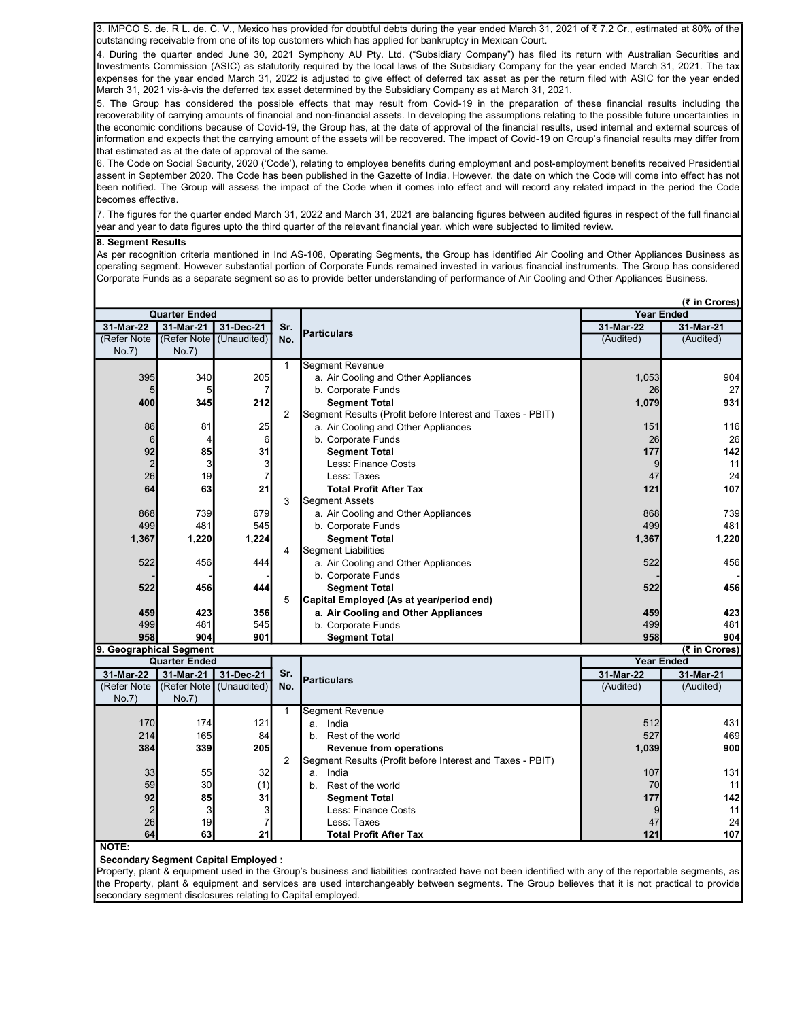3. IMPCO S. de. R L. de. C. V., Mexico has provided for doubtful debts during the year ended March 31, 2021 of ₹ 7.2 Cr., estimated at 80% of the outstanding receivable from one of its top customers which has applied for bankruptcy in Mexican Court.

4. During the quarter ended June 30, 2021 Symphony AU Pty. Ltd. ("Subsidiary Company") has filed its return with Australian Securities and Investments Commission (ASIC) as statutorily required by the local laws of the Subsidiary Company for the year ended March 31, 2021. The tax expenses for the year ended March 31, 2022 is adjusted to give effect of deferred tax asset as per the return filed with ASIC for the year ended March 31, 2021 vis-à-vis the deferred tax asset determined by the Subsidiary Company as at March 31, 2021.

5. The Group has considered the possible effects that may result from Covid-19 in the preparation of these financial results including the recoverability of carrying amounts of financial and non-financial assets. In developing the assumptions relating to the possible future uncertainties in the economic conditions because of Covid-19, the Group has, at the date of approval of the financial results, used internal and external sources of information and expects that the carrying amount of the assets will be recovered. The impact of Covid-19 on Group's financial results may differ from that estimated as at the date of approval of the same.

6. The Code on Social Security, 2020 ('Code'), relating to employee benefits during employment and post-employment benefits received Presidential assent in September 2020. The Code has been published in the Gazette of India. However, the date on which the Code will come into effect has not been notified. The Group will assess the impact of the Code when it comes into effect and will record any related impact in the period the Code becomes effective.

7. The figures for the quarter ended March 31, 2022 and March 31, 2021 are balancing figures between audited figures in respect of the full financial year and year to date figures upto the third quarter of the relevant financial year, which were subjected to limited review.

## 8. Segment Results

As per recognition criteria mentioned in Ind AS-108, Operating Segments, the Group has identified Air Cooling and Other Appliances Business as operating segment. However substantial portion of Corporate Funds remained invested in various financial instruments. The Group has considered Corporate Funds as a separate segment so as to provide better understanding of performance of Air Cooling and Other Appliances Business.

|                         |                         |             |                |                                                           |                   | (₹ in Crores) |  |
|-------------------------|-------------------------|-------------|----------------|-----------------------------------------------------------|-------------------|---------------|--|
|                         | <b>Quarter Ended</b>    |             |                |                                                           | <b>Year Ended</b> |               |  |
| 31-Mar-22               | 31-Mar-21               | 31-Dec-21   | Sr.            | <b>Particulars</b>                                        | 31-Mar-22         | 31-Mar-21     |  |
| (Refer Note             | (Refer Note (Unaudited) |             | No.            |                                                           | (Audited)         | (Audited)     |  |
| No.7)                   | No.7)                   |             |                |                                                           |                   |               |  |
|                         |                         |             | $\mathbf{1}$   | <b>Segment Revenue</b>                                    |                   |               |  |
| 395                     | 340                     | 205         |                | a. Air Cooling and Other Appliances                       | 1,053             | 904           |  |
| 5                       | 5                       |             |                | b. Corporate Funds                                        | 26                | 27            |  |
| 400                     | 345                     | 212         |                | <b>Segment Total</b>                                      | 1,079             | 931           |  |
|                         |                         |             | $\overline{2}$ | Segment Results (Profit before Interest and Taxes - PBIT) |                   |               |  |
| 86                      | 81                      | 25          |                | a. Air Cooling and Other Appliances                       | 151               | 116           |  |
| 6                       | 4                       | 6           |                | b. Corporate Funds                                        | 26                | 26            |  |
| 92                      | 85                      | 31          |                | <b>Segment Total</b>                                      | 177               | 142           |  |
| $\overline{2}$          | $\overline{3}$          | 3           |                | Less: Finance Costs                                       | 9                 | 11            |  |
| 26                      | 19                      |             |                | Less: Taxes                                               | 47                | 24            |  |
| 64                      | 63                      | 21          |                | <b>Total Profit After Tax</b>                             | 121               | 107           |  |
|                         |                         |             | 3              | <b>Segment Assets</b>                                     |                   |               |  |
| 868                     | 739                     | 679         |                | a. Air Cooling and Other Appliances                       | 868               | 739           |  |
| 499                     | 481                     | 545         |                | b. Corporate Funds                                        | 499               | 481           |  |
| 1,367                   | 1,220                   | 1,224       |                | <b>Segment Total</b>                                      | 1,367             | 1,220         |  |
|                         |                         |             | 4              | <b>Segment Liabilities</b>                                |                   |               |  |
| 522                     | 456                     | 444         |                | a. Air Cooling and Other Appliances                       | 522               | 456           |  |
|                         |                         |             |                | b. Corporate Funds                                        |                   |               |  |
| 522                     | 456                     | 444         |                | <b>Segment Total</b>                                      | 522               | 456           |  |
|                         |                         |             | 5              | Capital Employed (As at year/period end)                  |                   |               |  |
| 459                     | 423                     | 356         |                | a. Air Cooling and Other Appliances                       | 459               | 423           |  |
| 499                     | 481                     | 545         |                | b. Corporate Funds                                        | 499               | 481           |  |
| 958                     | 904                     | 901         |                | <b>Segment Total</b>                                      | 958               | 904           |  |
| 9. Geographical Segment |                         |             |                |                                                           |                   | (₹ in Crores) |  |
|                         | <b>Quarter Ended</b>    |             |                |                                                           | <b>Year Ended</b> |               |  |
| 31-Mar-22               | 31-Mar-21               | 31-Dec-21   | Sr.            | <b>Particulars</b>                                        | 31-Mar-22         | 31-Mar-21     |  |
| (Refer Note             | (Refer Note             | (Unaudited) | No.            |                                                           | (Audited)         | (Audited)     |  |
| No.7)                   | No.7)                   |             |                |                                                           |                   |               |  |
|                         |                         |             | $\mathbf{1}$   | <b>Segment Revenue</b>                                    |                   |               |  |
| 170                     | 174                     | 121         |                | India<br>a.                                               | 512               | 431           |  |
| 214                     | 165                     | 84          |                | Rest of the world<br>b.                                   | 527               | 469           |  |
| 384                     | 339                     | 205         |                | <b>Revenue from operations</b>                            | 1,039             | 900           |  |
|                         |                         |             | $\overline{2}$ | Segment Results (Profit before Interest and Taxes - PBIT) |                   |               |  |
| 33                      | 55                      | 32          |                | India<br>a.                                               | 107               | 131           |  |
| 59                      | 30                      | (1)         |                | Rest of the world<br>b.                                   | 70                | 11            |  |
| 92                      | 85                      | 31          |                | <b>Segment Total</b>                                      | 177               | 142           |  |
| $\overline{2}$          | $\overline{3}$          | 3           |                | Less: Finance Costs                                       | 9                 | 11            |  |
| 26                      | 19                      |             |                | Less: Taxes                                               | 47                | 24            |  |
| 64                      | 63                      | 21          |                | <b>Total Profit After Tax</b>                             | 121               | 107           |  |

NOTE:

Secondary Segment Capital Employed :

Property, plant & equipment used in the Group's business and liabilities contracted have not been identified with any of the reportable segments, as the Property, plant & equipment and services are used interchangeably between segments. The Group believes that it is not practical to provide secondary segment disclosures relating to Capital employed.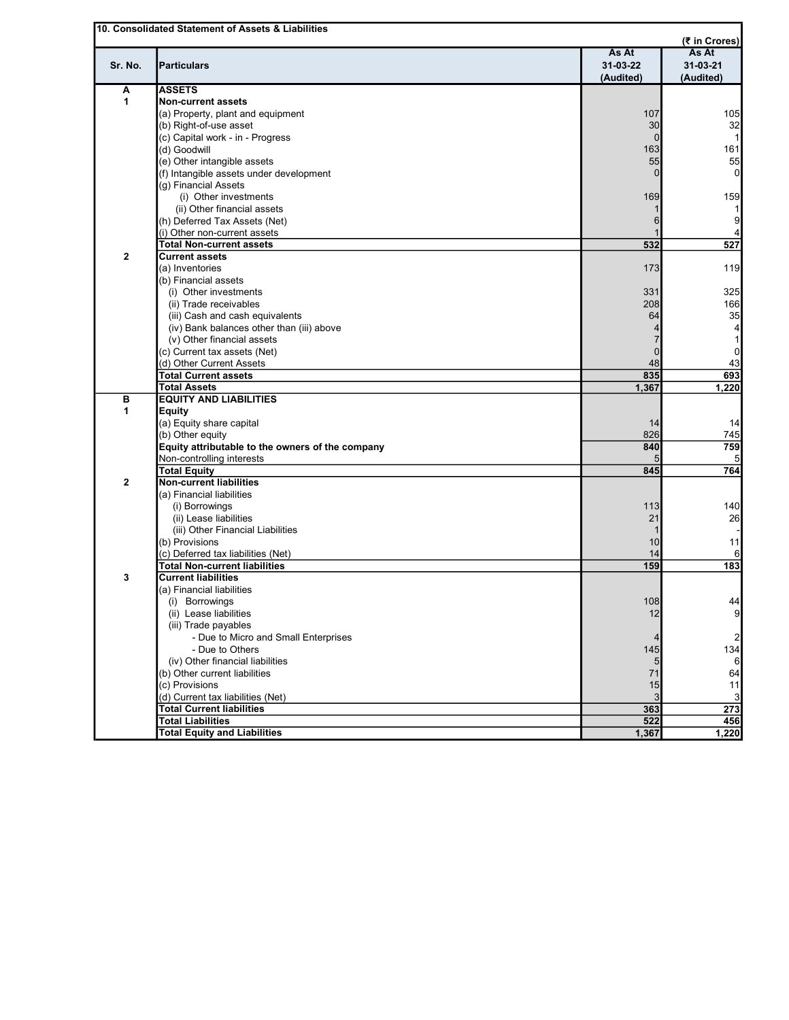|              | 10. Consolidated Statement of Assets & Liabilities |           | (₹ in Crores)   |
|--------------|----------------------------------------------------|-----------|-----------------|
|              |                                                    | As At     | As At           |
| Sr. No.      | <b>Particulars</b>                                 | 31-03-22  | 31-03-21        |
|              |                                                    | (Audited) | (Audited)       |
| Α            | <b>ASSETS</b>                                      |           |                 |
| 1            | <b>Non-current assets</b>                          |           |                 |
|              | (a) Property, plant and equipment                  | 107       | 105             |
|              | (b) Right-of-use asset                             | 30        | 32              |
|              | (c) Capital work - in - Progress                   | $\Omega$  | 11              |
|              | (d) Goodwill                                       | 163       | 161             |
|              | (e) Other intangible assets                        | 55        | 55              |
|              | (f) Intangible assets under development            |           | 0               |
|              | (g) Financial Assets                               |           |                 |
|              | (i) Other investments                              | 169       | 159             |
|              | (ii) Other financial assets                        |           | 1               |
|              | (h) Deferred Tax Assets (Net)                      | 6         | $\overline{9}$  |
|              | (i) Other non-current assets                       |           | 4               |
|              | <b>Total Non-current assets</b>                    | 532       | 527             |
| $\mathbf{2}$ | <b>Current assets</b>                              |           |                 |
|              |                                                    |           |                 |
|              | (a) Inventories                                    | 173       | 119             |
|              | (b) Financial assets                               |           |                 |
|              | (i) Other investments                              | 331       | 325             |
|              | (ii) Trade receivables                             | 208       | 166             |
|              | (iii) Cash and cash equivalents                    | 64        | 35              |
|              | (iv) Bank balances other than (iii) above          |           | $\vert 4 \vert$ |
|              | (v) Other financial assets                         |           | 1               |
|              | (c) Current tax assets (Net)                       | $\Omega$  | $\overline{0}$  |
|              | (d) Other Current Assets                           | 48        | 43              |
|              | <b>Total Current assets</b>                        | 835       | 693             |
|              | <b>Total Assets</b>                                | 1,367     | 1,220           |
| в            | <b>EQUITY AND LIABILITIES</b>                      |           |                 |
| 1            | <b>Equity</b>                                      |           |                 |
|              | (a) Equity share capital                           | 14        | 14              |
|              | (b) Other equity                                   | 826       | 745             |
|              | Equity attributable to the owners of the company   | 840       | 759             |
|              | Non-controlling interests                          |           |                 |
|              | <b>Total Equity</b>                                | 845       | 764             |
| $\mathbf{2}$ | <b>Non-current liabilities</b>                     |           |                 |
|              | (a) Financial liabilities                          |           |                 |
|              | (i) Borrowings                                     | 113       | 140             |
|              | (ii) Lease liabilities                             | 21        | 26              |
|              | (iii) Other Financial Liabilities                  |           |                 |
|              | (b) Provisions                                     | 10        | 11              |
|              | (c) Deferred tax liabilities (Net)                 | 14        | 6               |
|              | <b>Total Non-current liabilities</b>               | 159       | 183             |
| 3            | <b>Current liabilities</b>                         |           |                 |
|              |                                                    |           |                 |
|              | (a) Financial liabilities                          |           | 44              |
|              | (i) Borrowings                                     | 108       |                 |
|              | (ii) Lease liabilities                             | 12        | $\overline{9}$  |
|              | (iii) Trade payables                               |           |                 |
|              | - Due to Micro and Small Enterprises               |           | $\overline{2}$  |
|              | - Due to Others                                    | 145       | 134             |
|              | (iv) Other financial liabilities                   |           | 6               |
|              | (b) Other current liabilities                      | 71        | 64              |
|              | (c) Provisions                                     | 15        | 11              |
|              | (d) Current tax liabilities (Net)                  |           | 3               |
|              | <b>Total Current liabilities</b>                   | 363       | 273             |
|              | <b>Total Liabilities</b>                           | 522       | 456             |
|              | <b>Total Equity and Liabilities</b>                | 1,367     | 1,220           |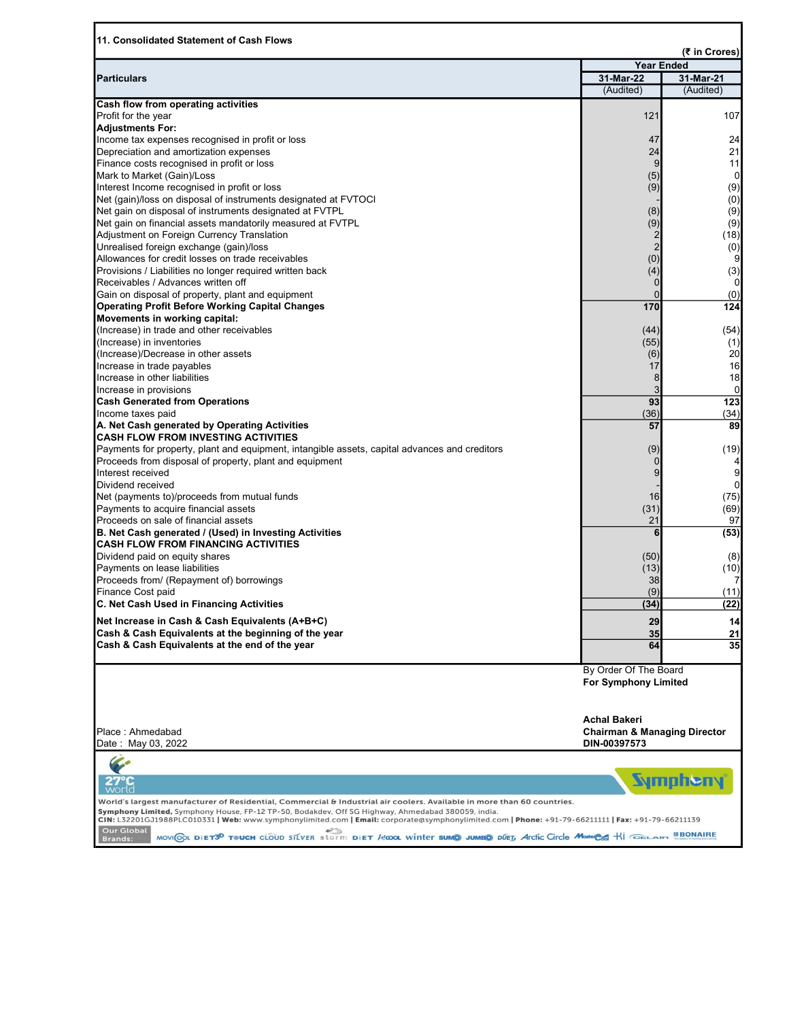| 11. Consolidated Statement of Cash Flows                                                                                                                                                                                    |                                         |                        |
|-----------------------------------------------------------------------------------------------------------------------------------------------------------------------------------------------------------------------------|-----------------------------------------|------------------------|
|                                                                                                                                                                                                                             |                                         | (₹ in Crores)          |
|                                                                                                                                                                                                                             | <b>Year Ended</b>                       |                        |
| <b>Particulars</b>                                                                                                                                                                                                          | 31-Mar-22<br>(Audited)                  | 31-Mar-21<br>(Audited) |
| <b>Cash flow from operating activities</b>                                                                                                                                                                                  |                                         |                        |
| Profit for the year                                                                                                                                                                                                         | 121                                     | 107                    |
| <b>Adjustments For:</b>                                                                                                                                                                                                     |                                         |                        |
| Income tax expenses recognised in profit or loss                                                                                                                                                                            | 47                                      | 24                     |
| Depreciation and amortization expenses                                                                                                                                                                                      | 24                                      | 21                     |
| Finance costs recognised in profit or loss                                                                                                                                                                                  | 9                                       | 11                     |
| Mark to Market (Gain)/Loss                                                                                                                                                                                                  | (5)                                     | 0                      |
| Interest Income recognised in profit or loss                                                                                                                                                                                | (9)                                     | (9)                    |
| Net (gain)/loss on disposal of instruments designated at FVTOCI                                                                                                                                                             |                                         | (0)                    |
| Net gain on disposal of instruments designated at FVTPL                                                                                                                                                                     | (8)                                     | (9)                    |
| Net gain on financial assets mandatorily measured at FVTPL                                                                                                                                                                  | (9)                                     | (9)                    |
| Adjustment on Foreign Currency Translation                                                                                                                                                                                  | 2                                       | (18)                   |
| Unrealised foreign exchange (gain)/loss                                                                                                                                                                                     |                                         | (0)                    |
| Allowances for credit losses on trade receivables                                                                                                                                                                           | (0)                                     | 9                      |
| Provisions / Liabilities no longer required written back                                                                                                                                                                    | (4)                                     | (3)                    |
| Receivables / Advances written off                                                                                                                                                                                          |                                         |                        |
| Gain on disposal of property, plant and equipment                                                                                                                                                                           |                                         | (0)                    |
| <b>Operating Profit Before Working Capital Changes</b>                                                                                                                                                                      | 170                                     | 124                    |
| Movements in working capital:                                                                                                                                                                                               |                                         |                        |
| (Increase) in trade and other receivables                                                                                                                                                                                   | (44)                                    | (54)                   |
| (Increase) in inventories                                                                                                                                                                                                   | (55)                                    | (1)                    |
| (Increase)/Decrease in other assets                                                                                                                                                                                         | (6)                                     | 20                     |
| Increase in trade payables                                                                                                                                                                                                  | 17                                      | 16                     |
| Increase in other liabilities                                                                                                                                                                                               | 8                                       | 18                     |
| Increase in provisions                                                                                                                                                                                                      |                                         | $\mathbf 0$            |
| <b>Cash Generated from Operations</b>                                                                                                                                                                                       | 93                                      | 123                    |
| Income taxes paid                                                                                                                                                                                                           | (36)                                    | (34)                   |
| A. Net Cash generated by Operating Activities<br><b>CASH FLOW FROM INVESTING ACTIVITIES</b>                                                                                                                                 | 57                                      | 89                     |
| Payments for property, plant and equipment, intangible assets, capital advances and creditors                                                                                                                               |                                         | (19)                   |
| Proceeds from disposal of property, plant and equipment                                                                                                                                                                     | (9)                                     |                        |
| Interest received                                                                                                                                                                                                           | 9                                       | $\overline{9}$         |
| Dividend received                                                                                                                                                                                                           |                                         | $\overline{0}$         |
| Net (payments to)/proceeds from mutual funds                                                                                                                                                                                | 16                                      | (75)                   |
| Payments to acquire financial assets                                                                                                                                                                                        | (31)                                    | (69)                   |
| Proceeds on sale of financial assets                                                                                                                                                                                        | 21                                      | 97                     |
| B. Net Cash generated / (Used) in Investing Activities                                                                                                                                                                      | 6                                       | (53)                   |
| <b>CASH FLOW FROM FINANCING ACTIVITIES</b>                                                                                                                                                                                  |                                         |                        |
| Dividend paid on equity shares                                                                                                                                                                                              | (50)                                    | (8)                    |
| Payments on lease liabilities                                                                                                                                                                                               | (13)                                    | (10)                   |
| Proceeds from/ (Repayment of) borrowings                                                                                                                                                                                    | 38                                      | 7                      |
| Finance Cost paid                                                                                                                                                                                                           | (9)                                     | (11)                   |
| C. Net Cash Used in Financing Activities                                                                                                                                                                                    | (34)                                    | (22)                   |
| Net Increase in Cash & Cash Equivalents (A+B+C)                                                                                                                                                                             | 29                                      | 14                     |
| Cash & Cash Equivalents at the beginning of the year                                                                                                                                                                        | 35                                      | 21                     |
| Cash & Cash Equivalents at the end of the year                                                                                                                                                                              | 64                                      | 35                     |
|                                                                                                                                                                                                                             |                                         |                        |
|                                                                                                                                                                                                                             | By Order Of The Board                   |                        |
|                                                                                                                                                                                                                             | <b>For Symphony Limited</b>             |                        |
|                                                                                                                                                                                                                             |                                         |                        |
|                                                                                                                                                                                                                             |                                         |                        |
|                                                                                                                                                                                                                             | <b>Achal Bakeri</b>                     |                        |
| Place: Ahmedabad                                                                                                                                                                                                            | <b>Chairman &amp; Managing Director</b> |                        |
| Date: May 03, 2022                                                                                                                                                                                                          | DIN-00397573                            |                        |
|                                                                                                                                                                                                                             |                                         |                        |
|                                                                                                                                                                                                                             |                                         |                        |
|                                                                                                                                                                                                                             |                                         | <b>Sympheny</b>        |
|                                                                                                                                                                                                                             |                                         |                        |
| World's largest manufacturer of Residential, Commercial & Industrial air coolers. Available in more than 60 countries.<br>Symphony Limited, Symphony House, FP-12 TP-50, Bodakdev, Off SG Highway, Ahmedabad 380059, india. |                                         |                        |
| CIN: L32201GJ1988PLC010331   Web: www.symphonylimited.com   Email: corporate@symphonylimited.com   Phone: +91-79-66211111   Fax: +91-79-66211139                                                                            |                                         |                        |
| Our Global<br>MOVICOL DIET3 <sup>D</sup> TOUCH CLOUD STLVER Storm DIET HOOL WINTER SUMO JUMBO DUET, Arctic Circle Master SA HI GELAIR EBONAIRE                                                                              |                                         |                        |
| <b>Brands:</b>                                                                                                                                                                                                              |                                         |                        |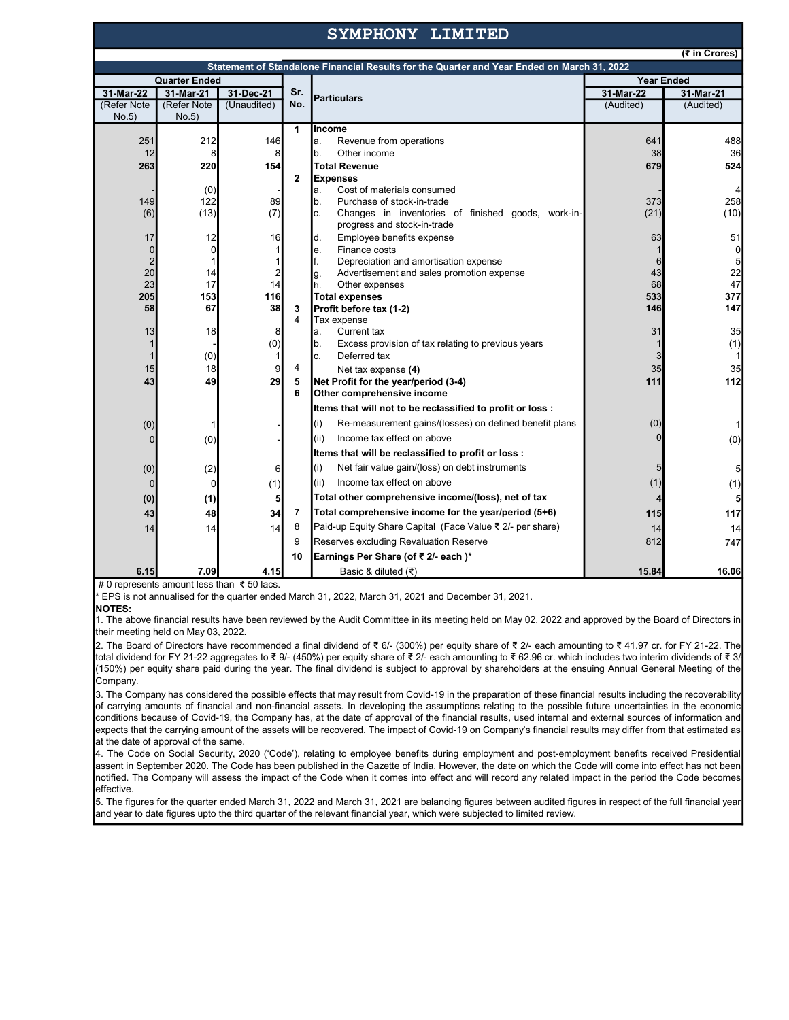## SYMPHONY LIMITED

 $\overline{\bullet}$  in Crore

|                      |             |                |              | Statement of Standalone Financial Results for the Quarter and Year Ended on March 31, 2022 |                   | (5.0006)       |  |
|----------------------|-------------|----------------|--------------|--------------------------------------------------------------------------------------------|-------------------|----------------|--|
| <b>Quarter Ended</b> |             |                |              |                                                                                            | <b>Year Ended</b> |                |  |
| 31-Mar-22            | 31-Mar-21   | 31-Dec-21      | Sr.          |                                                                                            | 31-Mar-22         | 31-Mar-21      |  |
| (Refer Note          | (Refer Note | (Unaudited)    | No.          | <b>Particulars</b>                                                                         | (Audited)         | (Audited)      |  |
| No.5)                | No.5)       |                |              |                                                                                            |                   |                |  |
|                      |             |                | $\mathbf{1}$ | <b>Income</b>                                                                              |                   |                |  |
| 251                  | 212         | 146            |              | Revenue from operations<br>a.                                                              | 641               | 488            |  |
| 12                   | 8           | 8              |              | Other income<br>b.                                                                         | 38                | 36             |  |
| 263                  | 220         | 154            |              | <b>Total Revenue</b>                                                                       | 679               | 524            |  |
|                      |             |                | $\mathbf{2}$ | <b>Expenses</b>                                                                            |                   |                |  |
|                      | (0)         |                |              | Cost of materials consumed<br>a.                                                           |                   |                |  |
| 149                  | 122         | 89             |              | Purchase of stock-in-trade<br>b.                                                           | 373               | 258            |  |
| (6)                  | (13)        | (7)            |              | Changes in inventories of finished goods, work-in-<br>c.<br>progress and stock-in-trade    | (21)              | (10)           |  |
| 17                   | 12          | 16             |              | Employee benefits expense<br>d.                                                            | 63                | 51             |  |
| $\mathbf 0$          | $\mathbf 0$ |                |              | Finance costs<br>e.                                                                        |                   | $\overline{0}$ |  |
| $\overline{2}$       |             |                |              | f.<br>Depreciation and amortisation expense                                                | 6                 | 5              |  |
| 20                   | 14          | $\overline{c}$ |              | Advertisement and sales promotion expense<br>g.                                            | 43                | 22             |  |
| 23                   | 17          | 14             |              | h.<br>Other expenses                                                                       | 68                | 47             |  |
| 205                  | 153         | 116            |              | <b>Total expenses</b>                                                                      | 533               | 377            |  |
| 58                   | 67          | 38             | 3            | Profit before tax (1-2)                                                                    | 146               | 147            |  |
|                      |             |                | 4            | Tax expense<br>Current tax                                                                 |                   | 35             |  |
| 13<br>1              | 18          | 8<br>(0)       |              | a.<br>Excess provision of tax relating to previous years<br>b.                             | 31                | (1)            |  |
| 1                    | (0)         |                |              | Deferred tax<br>c.                                                                         |                   | 1              |  |
| 15                   | 18          | 9              | 4            | Net tax expense (4)                                                                        | 35                | 35             |  |
| 43                   | 49          | 29             |              |                                                                                            | 111               | 112            |  |
|                      |             |                | 5<br>6       | Net Profit for the year/period (3-4)<br>Other comprehensive income                         |                   |                |  |
|                      |             |                |              | Items that will not to be reclassified to profit or loss :                                 |                   |                |  |
| (0)                  |             |                |              | (i)<br>Re-measurement gains/(losses) on defined benefit plans                              | (0)               | 1              |  |
| 0                    | (0)         |                |              | Income tax effect on above<br>(ii)                                                         |                   | (0)            |  |
|                      |             |                |              | Items that will be reclassified to profit or loss :                                        |                   |                |  |
| (0)                  | (2)         | 6              |              | (i)<br>Net fair value gain/(loss) on debt instruments                                      | 5                 | 5              |  |
| $\mathbf 0$          | 0           | (1)            |              | (ii)<br>Income tax effect on above                                                         | (1)               | (1)            |  |
| (0)                  | (1)         | 5              |              | Total other comprehensive income/(loss), net of tax                                        |                   | 5              |  |
| 43                   | 48          | 34             | 7            | Total comprehensive income for the year/period (5+6)                                       | 115               | 117            |  |
| 14                   | 14          | 14             | 8            | Paid-up Equity Share Capital (Face Value ₹ 2/- per share)                                  | 14                | 14             |  |
|                      |             |                | 9            | Reserves excluding Revaluation Reserve                                                     | 812               | 747            |  |
|                      |             |                | 10           | Earnings Per Share (of ₹ 2/- each)*                                                        |                   |                |  |
| 6.15                 | 7.09        | 4.15           |              | Basic & diluted (₹)                                                                        | 15.84             | 16.06          |  |

# 0 represents amount less than ₹ 50 lacs.

\* EPS is not annualised for the quarter ended March 31, 2022, March 31, 2021 and December 31, 2021.

NOTES:

1. The above financial results have been reviewed by the Audit Committee in its meeting held on May 02, 2022 and approved by the Board of Directors in their meeting held on May 03, 2022.

2. The Board of Directors have recommended a final dividend of ₹ 6/- (300%) per equity share of ₹ 2/- each amounting to ₹ 41.97 cr. for FY 21-22. The total dividend for FY 21-22 aggregates to ₹ 9/- (450%) per equity share of ₹ 2/- each amounting to ₹ 62.96 cr. which includes two interim dividends of ₹ 3/- (150%) per equity share paid during the year. The final dividend is subject to approval by shareholders at the ensuing Annual General Meeting of the Company.

 $\vert$ 3. The Company has considered the possible effects that may result from Covid-19 in the preparation of these financial results including the recoverability of carrying amounts of financial and non-financial assets. In developing the assumptions relating to the possible future uncertainties in the economic conditions because of Covid-19, the Company has, at the date of approval of the financial results, used internal and external sources of information and expects that the carrying amount of the assets will be recovered. The impact of Covid-19 on Company's financial results may differ from that estimated as at the date of approval of the same.

4. The Code on Social Security, 2020 ('Code'), relating to employee benefits during employment and post-employment benefits received Presidential assent in September 2020. The Code has been published in the Gazette of India. However, the date on which the Code will come into effect has not been notified. The Company will assess the impact of the Code when it comes into effect and will record any related impact in the period the Code becomes effective.

5. The figures for the quarter ended March 31, 2022 and March 31, 2021 are balancing figures between audited figures in respect of the full financial year and year to date figures upto the third quarter of the relevant financial year, which were subjected to limited review.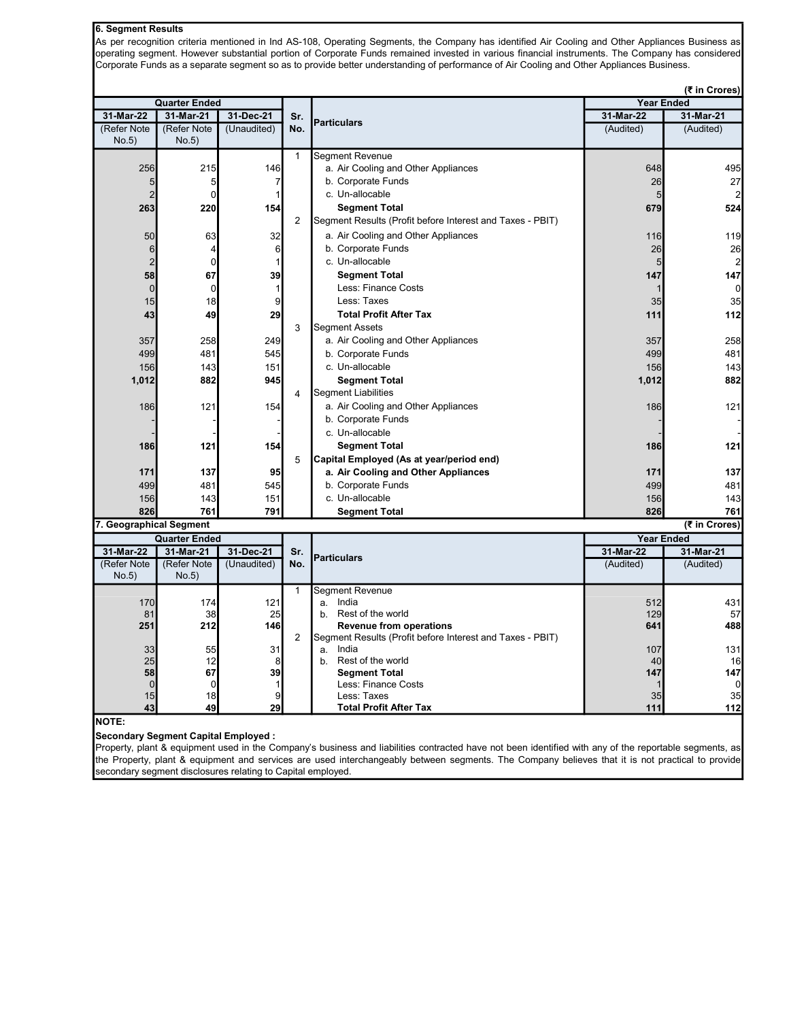## 6. Segment Results

As per recognition criteria mentioned in Ind AS-108, Operating Segments, the Company has identified Air Cooling and Other Appliances Business as operating segment. However substantial portion of Corporate Funds remained invested in various financial instruments. The Company has considered Corporate Funds as a separate segment so as to provide better understanding of performance of Air Cooling and Other Appliances Business.

(₹ in Crores)

| <b>Quarter Ended</b>    |                                   |                 |                | (र in Crores)<br><b>Year Ended</b>                        |                                |                |
|-------------------------|-----------------------------------|-----------------|----------------|-----------------------------------------------------------|--------------------------------|----------------|
| 31-Mar-22               | 31-Mar-21                         | 31-Dec-21       | Sr.            |                                                           | 31-Mar-22                      | 31-Mar-21      |
| (Refer Note             | (Refer Note                       | (Unaudited)     | No.            | <b>Particulars</b>                                        | (Audited)                      | (Audited)      |
| No.5)                   | No.5)                             |                 |                |                                                           |                                |                |
|                         |                                   |                 | $\mathbf{1}$   | <b>Segment Revenue</b>                                    |                                |                |
| 256                     | 215                               | 146             |                | a. Air Cooling and Other Appliances                       | 648                            | 495            |
| 5                       | 5                                 | $\overline{7}$  |                | b. Corporate Funds                                        | 26                             | 27             |
| $\overline{2}$          | $\Omega$                          | $\mathbf{1}$    |                | c. Un-allocable                                           | 5                              | 2              |
| 263                     | 220                               | 154             |                | <b>Segment Total</b>                                      | 679                            | 524            |
|                         |                                   |                 | $\overline{2}$ | Segment Results (Profit before Interest and Taxes - PBIT) |                                |                |
| 50                      | 63                                | 32              |                | a. Air Cooling and Other Appliances                       | 116                            | 119            |
| 6                       | 4                                 | $6\phantom{.}6$ |                | b. Corporate Funds                                        | 26                             | 26             |
| $\overline{2}$          | $\mathbf 0$                       | $\mathbf{1}$    |                | c. Un-allocable                                           | 5                              | $\mathbf{2}$   |
| 58                      | 67                                | 39              |                | <b>Segment Total</b>                                      | 147                            | 147            |
| $\Omega$                | $\Omega$                          | $\mathbf{1}$    |                | Less: Finance Costs                                       |                                | $\overline{0}$ |
| 15                      | 18                                | 9               |                | Less: Taxes                                               | 35                             | 35             |
| 43                      | 49                                | 29              |                | <b>Total Profit After Tax</b>                             | 111                            | 112            |
|                         |                                   |                 | 3              | <b>Segment Assets</b>                                     |                                |                |
| 357                     | 258                               | 249             |                | a. Air Cooling and Other Appliances                       | 357                            | 258            |
| 499                     | 481                               | 545             |                | b. Corporate Funds                                        | 499                            | 481            |
| 156                     | 143                               | 151             |                | c. Un-allocable                                           | 156                            | 143            |
| 1,012                   | 882                               | 945             |                | <b>Segment Total</b>                                      | 1,012                          | 882            |
|                         |                                   |                 | 4              | <b>Segment Liabilities</b>                                |                                |                |
| 186                     | 121                               | 154             |                | a. Air Cooling and Other Appliances                       | 186                            | 121            |
|                         |                                   |                 |                | b. Corporate Funds                                        |                                |                |
|                         |                                   |                 |                | c. Un-allocable                                           |                                |                |
|                         |                                   |                 |                |                                                           |                                |                |
| 186                     | 121                               | 154             |                | <b>Segment Total</b>                                      | 186                            | 121            |
|                         |                                   |                 | 5              | Capital Employed (As at year/period end)                  |                                |                |
| 171                     | 137                               | 95              |                | a. Air Cooling and Other Appliances                       | 171                            | 137            |
| 499                     | 481                               | 545             |                | b. Corporate Funds                                        | 499                            | 481            |
| 156                     | 143                               | 151             |                | c. Un-allocable                                           | 156                            | 143            |
| 826                     | 761                               | 791             |                | <b>Segment Total</b>                                      | 826                            | 761            |
| 7. Geographical Segment |                                   |                 |                |                                                           |                                | (₹ in Crores)  |
| 31-Mar-22               | <b>Quarter Ended</b><br>31-Mar-21 | 31-Dec-21       |                |                                                           | <b>Year Ended</b><br>31-Mar-22 | 31-Mar-21      |
| (Refer Note             | (Refer Note                       | (Unaudited)     | Sr.<br>No.     | <b>Particulars</b>                                        | (Audited)                      | (Audited)      |
| No.5)                   | No.5)                             |                 |                |                                                           |                                |                |
|                         |                                   |                 | 1              | Segment Revenue                                           |                                |                |
| 170                     | 174                               | 121             |                | India<br>a.                                               | 512                            | 431            |
| 81                      | 38                                | 25              |                | Rest of the world<br>b.                                   | 129                            | 57             |
| 251                     | 212                               | 146             |                | <b>Revenue from operations</b>                            | 641                            | 488            |
|                         |                                   |                 | 2              | Segment Results (Profit before Interest and Taxes - PBIT) |                                |                |
| 33                      | 55                                | 31              |                | India<br>a.                                               | 107                            | 131            |
| 25                      | 12                                | 8               |                | b. Rest of the world                                      | 40                             | 16             |
| 58                      | 67                                | 39              |                | <b>Segment Total</b>                                      | 147                            | 147            |
| $\mathbf{0}$<br>15      | 0<br>18                           | 1<br>9          |                | Less: Finance Costs<br>Less: Taxes                        | 35                             | $\Omega$<br>35 |
| 43                      | 49                                | 29              |                | <b>Total Profit After Tax</b>                             | 111                            | 112            |
| INOTE·                  |                                   |                 |                |                                                           |                                |                |

NOTE:

Secondary Segment Capital Employed :

Property, plant & equipment used in the Company's business and liabilities contracted have not been identified with any of the reportable segments, as the Property, plant & equipment and services are used interchangeably between segments. The Company believes that it is not practical to provide secondary segment disclosures relating to Capital employed.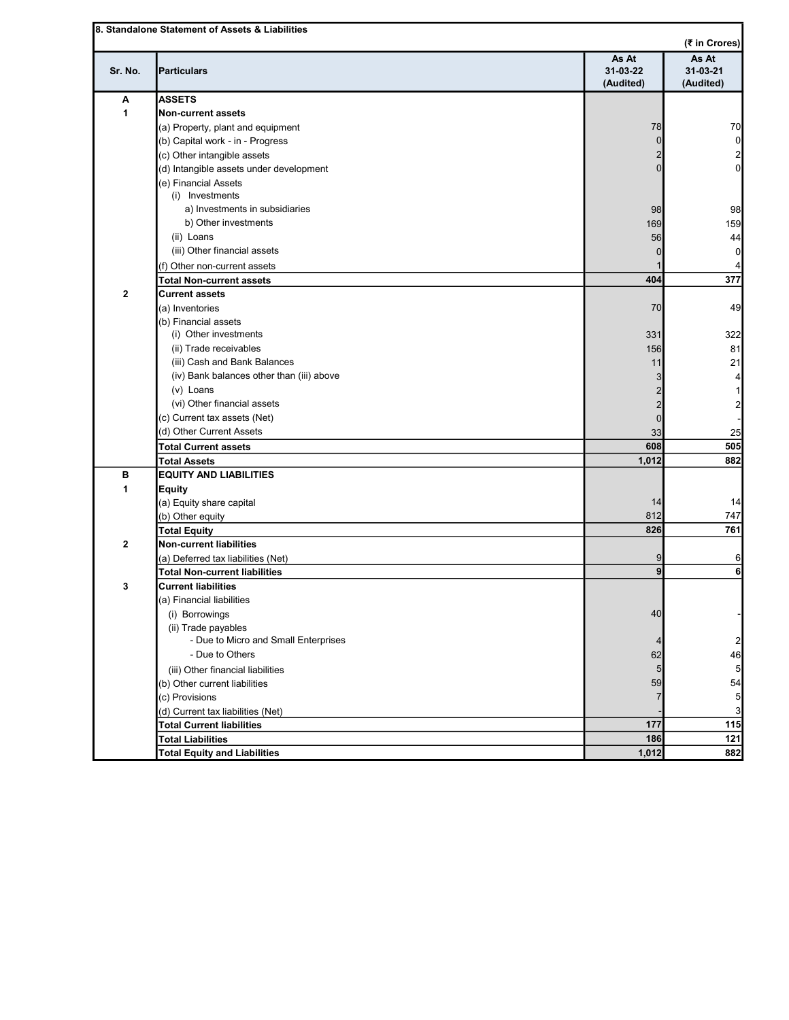|         |                                                                    | As At                 | As At                       |
|---------|--------------------------------------------------------------------|-----------------------|-----------------------------|
| Sr. No. | <b>Particulars</b>                                                 | 31-03-22<br>(Audited) | $31 - 03 - 21$<br>(Audited) |
| Α       | <b>ASSETS</b>                                                      |                       |                             |
| 1       | <b>Non-current assets</b>                                          |                       |                             |
|         | (a) Property, plant and equipment                                  | 78                    |                             |
|         | (b) Capital work - in - Progress                                   | $\Omega$              |                             |
|         | (c) Other intangible assets                                        |                       |                             |
|         | (d) Intangible assets under development                            |                       |                             |
|         | (e) Financial Assets                                               |                       |                             |
|         | (i) Investments                                                    |                       |                             |
|         | a) Investments in subsidiaries                                     | 98                    |                             |
|         | b) Other investments                                               | 169                   |                             |
|         | (ii) Loans                                                         | 56                    |                             |
|         | (iii) Other financial assets                                       |                       |                             |
|         |                                                                    |                       |                             |
|         | (f) Other non-current assets<br><b>Total Non-current assets</b>    | 404                   |                             |
| 2       | <b>Current assets</b>                                              |                       |                             |
|         | (a) Inventories                                                    | 70                    |                             |
|         | (b) Financial assets                                               |                       |                             |
|         | (i) Other investments                                              | 331                   |                             |
|         | (ii) Trade receivables                                             | 156                   |                             |
|         | (iii) Cash and Bank Balances                                       | 11                    |                             |
|         | (iv) Bank balances other than (iii) above                          |                       |                             |
|         | (v) Loans                                                          |                       |                             |
|         | (vi) Other financial assets                                        |                       |                             |
|         | (c) Current tax assets (Net)                                       | $\overline{2}$        |                             |
|         | (d) Other Current Assets                                           | 0                     |                             |
|         |                                                                    | 33<br>608             |                             |
|         | <b>Total Current assets</b>                                        | 1,012                 |                             |
| в       | <b>Total Assets</b><br><b>EQUITY AND LIABILITIES</b>               |                       |                             |
| 1       |                                                                    |                       |                             |
|         | <b>Equity</b>                                                      |                       |                             |
|         | (a) Equity share capital                                           | 14                    |                             |
|         | (b) Other equity                                                   | 812<br>826            |                             |
|         | <b>Total Equity</b>                                                |                       |                             |
| 2       | <b>Non-current liabilities</b>                                     | 9                     |                             |
|         | (a) Deferred tax liabilities (Net)                                 | $\mathbf{g}$          |                             |
| 3       | <b>Total Non-current liabilities</b><br><b>Current liabilities</b> |                       |                             |
|         | (a) Financial liabilities                                          |                       |                             |
|         |                                                                    | 40                    |                             |
|         | (i) Borrowings                                                     |                       |                             |
|         | (ii) Trade payables<br>- Due to Micro and Small Enterprises        |                       |                             |
|         | - Due to Others                                                    |                       |                             |
|         |                                                                    | 62                    |                             |
|         | (iii) Other financial liabilities                                  | 5 <sub>5</sub>        |                             |
|         | (b) Other current liabilities                                      | 59                    |                             |
|         | (c) Provisions                                                     |                       |                             |
|         | (d) Current tax liabilities (Net)                                  |                       |                             |
|         | <b>Total Current liabilities</b><br><b>Total Liabilities</b>       | 177<br>186            |                             |
|         |                                                                    |                       |                             |